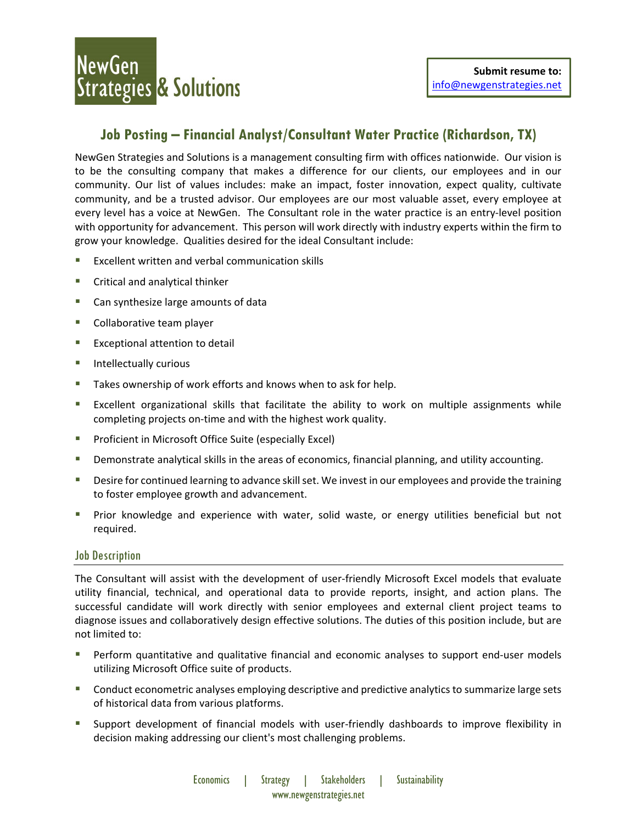## **Job Posting – Financial Analyst/Consultant Water Practice (Richardson, TX)**

NewGen Strategies and Solutions is a management consulting firm with offices nationwide. Our vision is to be the consulting company that makes a difference for our clients, our employees and in our community. Our list of values includes: make an impact, foster innovation, expect quality, cultivate community, and be a trusted advisor. Our employees are our most valuable asset, every employee at every level has a voice at NewGen. The Consultant role in the water practice is an entry-level position with opportunity for advancement. This person will work directly with industry experts within the firm to grow your knowledge. Qualities desired for the ideal Consultant include:

- Excellent written and verbal communication skills
- **E** Critical and analytical thinker
- Can synthesize large amounts of data
- **Collaborative team player**
- **Exceptional attention to detail**
- **Intellectually curious**
- Takes ownership of work efforts and knows when to ask for help.
- **EXCELLENT IS EXCELLENT IS EXCELLENT IS EXCELLENT THE EXCELLENT IS EXCELLENT** EXCELLENT UNITE EXCELLENT EXCELLENT completing projects on‐time and with the highest work quality.
- **Proficient in Microsoft Office Suite (especially Excel)**
- **Demonstrate analytical skills in the areas of economics, financial planning, and utility accounting.**
- Desire for continued learning to advance skill set. We invest in our employees and provide the training to foster employee growth and advancement.
- **Prior knowledge and experience with water, solid waste, or energy utilities beneficial but not** required.

### Job Description

The Consultant will assist with the development of user‐friendly Microsoft Excel models that evaluate utility financial, technical, and operational data to provide reports, insight, and action plans. The successful candidate will work directly with senior employees and external client project teams to diagnose issues and collaboratively design effective solutions. The duties of this position include, but are not limited to:

- Perform quantitative and qualitative financial and economic analyses to support end‐user models utilizing Microsoft Office suite of products.
- Conduct econometric analyses employing descriptive and predictive analyticsto summarize large sets of historical data from various platforms.
- Support development of financial models with user-friendly dashboards to improve flexibility in decision making addressing our client's most challenging problems.